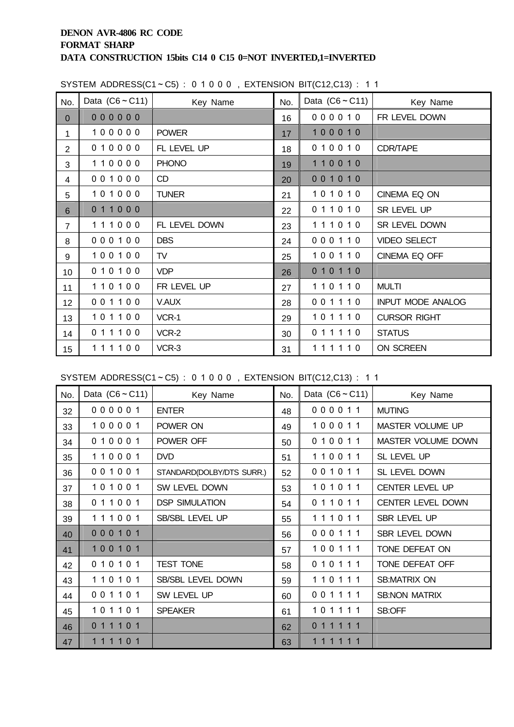| No.            | Data $(C6 \sim C11)$ | Key Name      | No.             | Data $(C6 \sim C11)$ | Key Name                 |
|----------------|----------------------|---------------|-----------------|----------------------|--------------------------|
| $\overline{0}$ | 000000               |               | 16              | 000010               | FR LEVEL DOWN            |
| 1              | 100000               | <b>POWER</b>  | 17 <sup>2</sup> | 100010               |                          |
| $\overline{2}$ | 010000               | FL LEVEL UP   | 18              | 010010               | <b>CDR/TAPE</b>          |
| 3              | 110000               | <b>PHONO</b>  | 19              | 110010               |                          |
| 4              | 001000               | CD            | 20              | 001010               |                          |
| 5              | 101000               | <b>TUNER</b>  | 21              | 101010               | CINEMA EQ ON             |
| 6              | 011000               |               | 22              | 011010               | SR LEVEL UP              |
| $\overline{7}$ | 111000               | FL LEVEL DOWN | 23              | 111010               | SR LEVEL DOWN            |
| 8              | 000100               | <b>DBS</b>    | 24              | 000110               | <b>VIDEO SELECT</b>      |
| 9              | 100100               | <b>TV</b>     | 25              | 100110               | CINEMA EQ OFF            |
| 10             | 010100               | <b>VDP</b>    | 26              | 010110               |                          |
| 11             | 110100               | FR LEVEL UP   | 27              | 110110               | <b>MULTI</b>             |
| 12             | 001100               | V.AUX         | 28              | 001110               | <b>INPUT MODE ANALOG</b> |
| 13             | 101100               | VCR-1         | 29              | 101110               | <b>CURSOR RIGHT</b>      |
| 14             | 011100               | VCR-2         | 30              | 011110               | <b>STATUS</b>            |
| 15             | 111100               | VCR-3         | 31              | 111110               | ON SCREEN                |

SYSTEM ADDRESS(C1~C5):  $0 1 0 0 0$ . EXTENSION BIT(C12,C13): 11

SYSTEM ADDRESS(C1~C5): 0 1 0 0 0, EXTENSION BIT(C12,C13): 1 1

| No. | Data $(C6 \sim C11)$ | Key Name                  | No. | Data $(C6 \sim C11)$ | Key Name               |
|-----|----------------------|---------------------------|-----|----------------------|------------------------|
| 32  | 000001               | <b>ENTER</b>              | 48  | 000011               | <b>MUTING</b>          |
| 33  | 100001               | POWER ON                  | 49  | 100011               | MASTER VOLUME UP       |
| 34  | 010001               | POWER OFF                 | 50  | 010011               | MASTER VOLUME DOWN     |
| 35  | 110001               | <b>DVD</b>                | 51  | 110011               | SL LEVEL UP            |
| 36  | 001001               | STANDARD(DOLBY/DTS SURR.) | 52  | 001011               | SL LEVEL DOWN          |
| 37  | 101001               | SW LEVEL DOWN             | 53  | 101011               | <b>CENTER LEVEL UP</b> |
| 38  | 011001               | <b>DSP SIMULATION</b>     | 54  | 011011               | CENTER LEVEL DOWN      |
| 39  | 111001               | SB/SBL LEVEL UP           | 55  | 111011               | SBR LEVEL UP           |
| 40  | 000101               |                           | 56  | 000111               | SBR LEVEL DOWN         |
| 41  | 100101               |                           | 57  | 100111               | TONE DEFEAT ON         |
| 42  | 010101               | <b>TEST TONE</b>          | 58  | 010111               | TONE DEFEAT OFF        |
| 43  | 110101               | SB/SBL LEVEL DOWN         | 59  | 110111               | <b>SB:MATRIX ON</b>    |
| 44  | 001101               | SW LEVEL UP               | 60  | 001111               | <b>SB:NON MATRIX</b>   |
| 45  | 101101               | <b>SPEAKER</b>            | 61  | 101111               | SB:OFF                 |
| 46  | 011101               |                           | 62  | 0 1 1 1 1 1          |                        |
| 47  | 1 1 1 1 0 1          |                           | 63  | 1 1 1 1 1 1          |                        |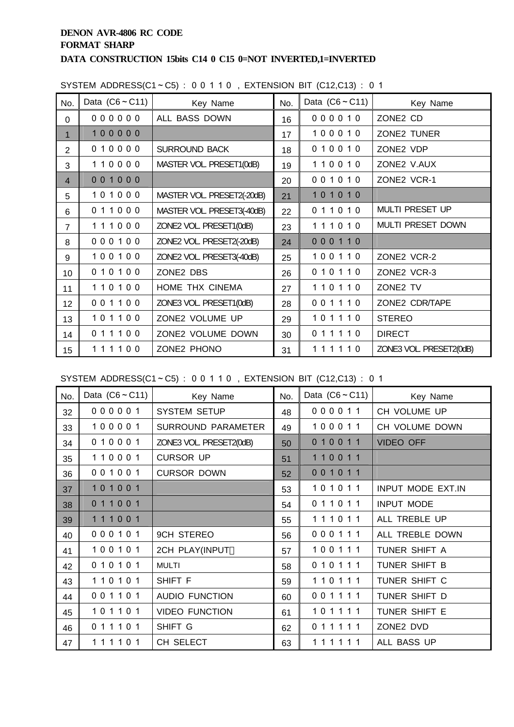| No.            | Data $(C6 \sim C11)$ | Key Name                   | No. | Data $(C6 \sim C11)$ | Key Name                |
|----------------|----------------------|----------------------------|-----|----------------------|-------------------------|
| $\Omega$       | 000000               | ALL BASS DOWN              | 16  | 000010               | ZONE2 CD                |
| $\mathbf 1$    | 100000               |                            | 17  | 100010               | ZONE2 TUNER             |
| $\overline{2}$ | 010000               | <b>SURROUND BACK</b>       | 18  | 010010               | ZONE2 VDP               |
| 3              | 110000               | MASTER VOL. PRESET1(0dB)   | 19  | 110010               | ZONE2 V.AUX             |
| $\overline{4}$ | 001000               |                            | 20  | 001010               | ZONE2 VCR-1             |
| 5              | 101000               | MASTER VOL. PRESET2(-20dB) | 21  | 101010               |                         |
| 6              | 011000               | MASTER VOL. PRESET3(-40dB) | 22  | 011010               | <b>MULTI PRESET UP</b>  |
| $\overline{7}$ | 111000               | ZONE2 VOL. PRESET1(0dB)    | 23  | 111010               | MULTI PRESET DOWN       |
| 8              | 000100               | ZONE2 VOL. PRESET2(-20dB)  | 24  | 000110               |                         |
| 9              | 100100               | ZONE2 VOL PRESET3(-40dB)   | 25  | 100110               | ZONE2 VCR-2             |
| 10             | 010100               | ZONE2 DBS                  | 26  | 010110               | ZONE2 VCR-3             |
| 11             | 110100               | HOME THX CINEMA            | 27  | 110110               | ZONE2 TV                |
| 12             | 001100               | ZONE3 VOL. PRESET1(0dB)    | 28  | 001110               | ZONE2 CDR/TAPE          |
| 13             | 101100               | ZONE2 VOLUME UP            | 29  | 101110               | <b>STEREO</b>           |
| 14             | 011100               | ZONE2 VOLUME DOWN          | 30  | 011110               | <b>DIRECT</b>           |
| 15             | 111100               | ZONE2 PHONO                | 31  | 111110               | ZONE3 VOL. PRESET2(0dB) |

SYSTEM ADDRESS(C1~C5) : 0 0 1 1 0 , EXTENSION BIT (C12,C13) : 0 1

SYSTEM ADDRESS(C1~C5) : 0 0 1 1 0 , EXTENSION BIT (C12,C13) : 0 1

| No. | Data $(C6 \sim C11)$ | Key Name                  | No. | Data $(C6 \sim C11)$ | Key Name          |
|-----|----------------------|---------------------------|-----|----------------------|-------------------|
| 32  | 000001               | <b>SYSTEM SETUP</b>       | 48  | 000011               | CH VOLUME UP      |
| 33  | 100001               | <b>SURROUND PARAMETER</b> | 49  | 100011               | CH VOLUME DOWN    |
| 34  | 010001               | ZONE3 VOL. PRESET2(0dB)   | 50  | 010011               | <b>VIDEO OFF</b>  |
| 35  | 110001               | <b>CURSOR UP</b>          | 51  | 110011               |                   |
| 36  | 001001               | <b>CURSOR DOWN</b>        | 52  | 001011               |                   |
| 37  | 101001               |                           | 53  | 101011               | INPUT MODE EXT.IN |
| 38  | 011001               |                           | 54  | 011011               | <b>INPUT MODE</b> |
| 39  | 111001               |                           | 55  | 111011               | ALL TREBLE UP     |
| 40  | 000101               | <b>9CH STEREO</b>         | 56  | 000111               | ALL TREBLE DOWN   |
| 41  | 100101               | 2CH PLAY(INPUT            | 57  | 100111               | TUNER SHIFT A     |
| 42  | 010101               | <b>MULTI</b>              | 58  | 010111               | TUNER SHIFT B     |
| 43  | 110101               | SHIFT F                   | 59  | 110111               | TUNER SHIFT C     |
| 44  | 001101               | <b>AUDIO FUNCTION</b>     | 60  | 001111               | TUNER SHIFT D     |
| 45  | 101101               | <b>VIDEO FUNCTION</b>     | 61  | 101111               | TUNER SHIFT E     |
| 46  | 011101               | SHIFT G                   | 62  | 011111               | ZONE2 DVD         |
| 47  | 111101               | CH SELECT                 | 63  | 111111               | ALL BASS UP       |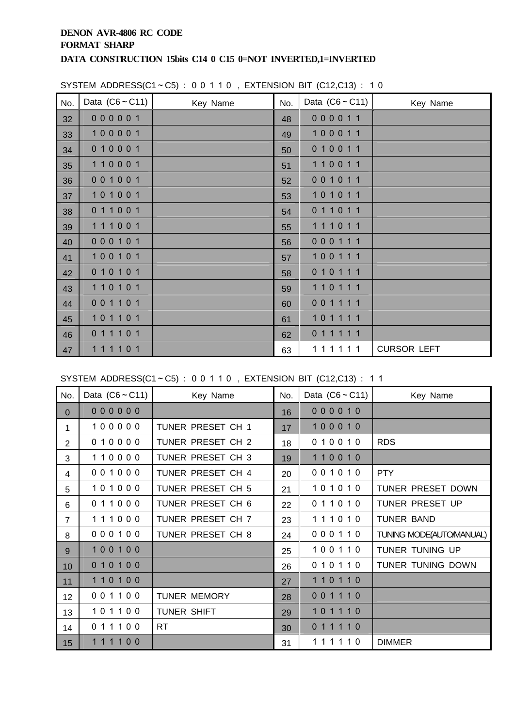| No. | Data $(C6 \sim C11)$ | Key Name | No. | Data $(C6 \sim C11)$ | Key Name           |
|-----|----------------------|----------|-----|----------------------|--------------------|
| 32  | 000001               |          | 48  | 000011               |                    |
| 33  | 100001               |          | 49  | 100011               |                    |
| 34  | 010001               |          | 50  | 010011               |                    |
| 35  | 110001               |          | 51  | 110011               |                    |
| 36  | 001001               |          | 52  | 001011               |                    |
| 37  | 101001               |          | 53  | 101011               |                    |
| 38  | 011001               |          | 54  | 011011               |                    |
| 39  | 111001               |          | 55  | 111011               |                    |
| 40  | 000101               |          | 56  | 000111               |                    |
| 41  | 100101               |          | 57  | 100111               |                    |
| 42  | 010101               |          | 58  | 010111               |                    |
| 43  | 110101               |          | 59  | 110111               |                    |
| 44  | 001101               |          | 60  | 001111               |                    |
| 45  | 101101               |          | 61  | 101111               |                    |
| 46  | 011101               |          | 62  | 011111               |                    |
| 47  | 111101               |          | 63  | 111111               | <b>CURSOR LEFT</b> |

SYSTEM ADDRESS(C1~C5) : 0 0 1 1 0 , EXTENSION BIT (C12,C13) : 1 0

SYSTEM ADDRESS(C1~C5): 00110, EXTENSION BIT (C12,C13): 11

| No.            | Data $(C6 \sim C11)$ | Key Name            | No. | Data $(C6 \sim C11)$ | Key Name                |
|----------------|----------------------|---------------------|-----|----------------------|-------------------------|
| $\mathbf{0}$   | 000000               |                     | 16  | 000010               |                         |
| 1.             | 100000               | TUNER PRESET CH 1   | 17  | 100010               |                         |
| $\overline{2}$ | 010000               | TUNER PRESET CH 2   | 18  | 010010               | <b>RDS</b>              |
| 3              | 110000               | TUNER PRESET CH 3   | 19  | 110010               |                         |
| 4              | 001000               | TUNER PRESET CH 4   | 20  | 001010               | <b>PTY</b>              |
| 5              | 101000               | TUNER PRESET CH 5   | 21  | 101010               | TUNER PRESET DOWN       |
| 6              | 011000               | TUNER PRESET CH 6   | 22  | 011010               | TUNER PRESET UP         |
| $\overline{7}$ | 111000               | TUNER PRESET CH 7   | 23  | 111010               | <b>TUNER BAND</b>       |
| 8              | 000100               | TUNER PRESET CH 8   | 24  | 000110               | TUNING MODE(AUTOMANUAL) |
| 9              | 100100               |                     | 25  | 100110               | TUNER TUNING UP         |
| 10             | 010100               |                     | 26  | 010110               | TUNER TUNING DOWN       |
| 11             | 110100               |                     | 27  | 110110               |                         |
| 12             | 001100               | <b>TUNER MEMORY</b> | 28  | 001110               |                         |
| 13             | 101100               | <b>TUNER SHIFT</b>  | 29  | 101110               |                         |
| 14             | 011100               | <b>RT</b>           | 30  | 011110               |                         |
| 15             | 111100               |                     | 31  | 111110               | <b>DIMMER</b>           |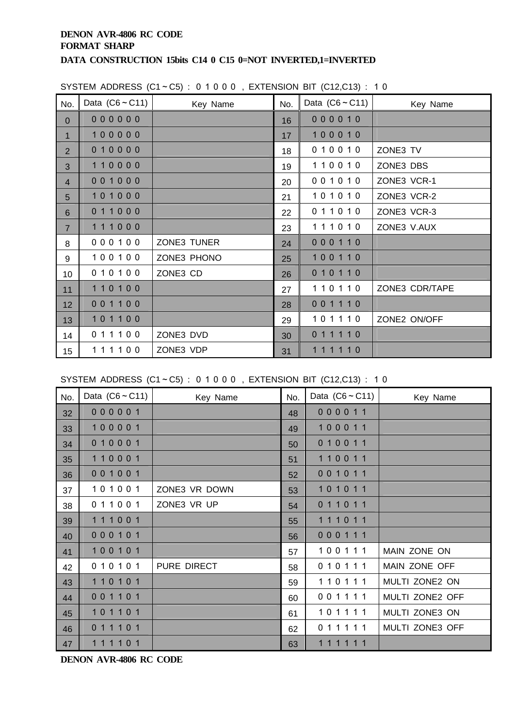| No.            | Data $(C6 \sim C11)$ | 0.0.1 (0.1.0.0.0.1 0.0.1 0.0.0.0.1 0.0.1 0.1.1 0.1.1 0.1.1 0.1.1 0.1.1 0.1.1 0.1.<br>Key Name | No. | Data $(C6 \sim C11)$ | Key Name       |
|----------------|----------------------|-----------------------------------------------------------------------------------------------|-----|----------------------|----------------|
| $\mathbf 0$    | 000000               |                                                                                               | 16  | 000010               |                |
| $\mathbf{1}$   | 100000               |                                                                                               | 17  | 100010               |                |
| $\overline{2}$ | 010000               |                                                                                               | 18  | 010010               | ZONE3 TV       |
| 3              | 110000               |                                                                                               | 19  | 110010               | ZONE3 DBS      |
| $\overline{4}$ | 001000               |                                                                                               | 20  | 001010               | ZONE3 VCR-1    |
| 5              | 101000               |                                                                                               | 21  | 101010               | ZONE3 VCR-2    |
| 6              | 011000               |                                                                                               | 22  | 011010               | ZONE3 VCR-3    |
| $\overline{7}$ | 111000               |                                                                                               | 23  | 111010               | ZONE3 V.AUX    |
| 8              | 000100               | ZONE3 TUNER                                                                                   | 24  | 000110               |                |
| 9              | 100100               | ZONE3 PHONO                                                                                   | 25  | 100110               |                |
| 10             | 010100               | ZONE3 CD                                                                                      | 26  | 010110               |                |
| 11             | 110100               |                                                                                               | 27  | 110110               | ZONE3 CDR/TAPE |
| 12             | 001100               |                                                                                               | 28  | 001110               |                |
| 13             | 101100               |                                                                                               | 29  | 101110               | ZONE2 ON/OFF   |
| 14             | 011100               | ZONE3 DVD                                                                                     | 30  | 011110               |                |
| 15             | 111100               | ZONE3 VDP                                                                                     | 31  | 111110               |                |

#### SYSTEM ADDRESS  $(C1 - C5)$ : 01000, EXTENSION BIT  $(C12.C13)$ : 10

SYSTEM ADDRESS  $(C1 - C5)$ : 01000, EXTENSION BIT  $(C12, C13)$ : 10

| No. | Data $(C6 \sim C11)$ | Key Name      | No. | Data $(C6 \sim C11)$ | Key Name        |
|-----|----------------------|---------------|-----|----------------------|-----------------|
| 32  | 000001               |               | 48  | 000011               |                 |
| 33  | 100001               |               | 49  | 100011               |                 |
| 34  | 010001               |               | 50  | 010011               |                 |
| 35  | 110001               |               | 51  | 110011               |                 |
| 36  | 001001               |               | 52  | 001011               |                 |
| 37  | 101001               | ZONE3 VR DOWN | 53  | 101011               |                 |
| 38  | 011001               | ZONE3 VR UP   | 54  | 011011               |                 |
| 39  | 111001               |               | 55  | 111011               |                 |
| 40  | 000101               |               | 56  | 000111               |                 |
| 41  | 100101               |               | 57  | 100111               | MAIN ZONE ON    |
| 42  | 010101               | PURE DIRECT   | 58  | 010111               | MAIN ZONE OFF   |
| 43  | 110101               |               | 59  | 110111               | MULTI ZONE2 ON  |
| 44  | 001101               |               | 60  | 001111               | MULTI ZONE2 OFF |
| 45  | 101101               |               | 61  | 101111               | MULTI ZONE3 ON  |
| 46  | 011101               |               | 62  | 011111               | MULTI ZONE3 OFF |
| 47  | 111101               |               | 63  | 111111               |                 |

**DENON AVR-4806 RC CODE**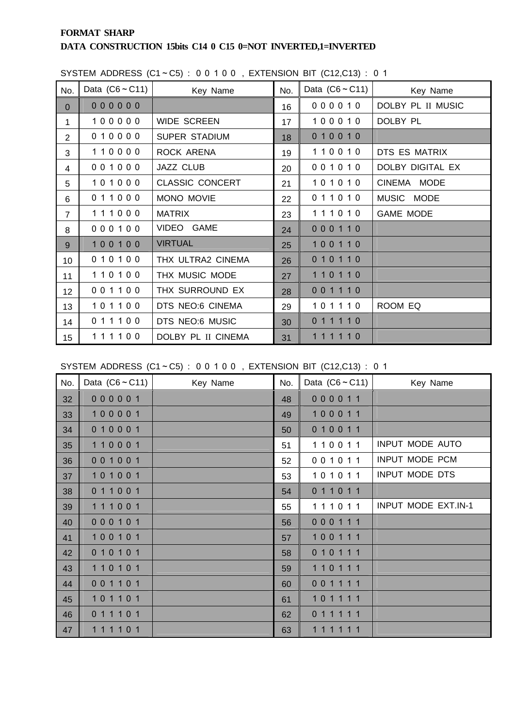### **FORMAT SHARP DATA CONSTRUCTION 15bits C14 0 C15 0=NOT INVERTED,1=INVERTED**

| No.             | Data $(C6 \sim C11)$ | Key Name               | No. | Data $(C6 \sim C11)$ | Key Name          |
|-----------------|----------------------|------------------------|-----|----------------------|-------------------|
| $\overline{0}$  | 000000               |                        | 16  | 000010               | DOLBY PL II MUSIC |
| $\mathbf{1}$    | 100000               | <b>WIDE SCREEN</b>     | 17  | 100010               | DOLBY PL          |
| $\overline{2}$  | 010000               | <b>SUPER STADIUM</b>   | 18  | 010010               |                   |
| 3               | 110000               | ROCK ARENA             | 19  | 110010               | DTS ES MATRIX     |
| 4               | 001000               | JAZZ CLUB              | 20  | 001010               | DOLBY DIGITAL EX  |
| 5               | 101000               | <b>CLASSIC CONCERT</b> | 21  | 101010               | CINEMA MODE       |
| 6               | 011000               | MONO MOVIE             | 22  | 011010               | MUSIC MODE        |
| $\overline{7}$  | 111000               | <b>MATRIX</b>          | 23  | 111010               | <b>GAME MODE</b>  |
| 8               | 000100               | VIDEO GAME             | 24  | 000110               |                   |
| 9               | 100100               | <b>VIRTUAL</b>         | 25  | 100110               |                   |
| 10              | 010100               | THX ULTRA2 CINEMA      | 26  | 010110               |                   |
| 11              | 110100               | THX MUSIC MODE         | 27  | 110110               |                   |
| 12 <sup>2</sup> | 001100               | THX SURROUND EX        | 28  | 001110               |                   |
| 13              | 101100               | DTS NEO:6 CINEMA       | 29  | 101110               | ROOM EQ           |
| 14              | 011100               | DTS NEO:6 MUSIC        | 30  | 011110               |                   |
| 15              | 111100               | DOLBY PL II CINEMA     | 31  | 111110               |                   |

SYSTEM ADDRESS  $(C1 - C5)$ : 00100, EXTENSION BIT  $(C12, C13)$ : 01

SYSTEM ADDRESS  $(C1 - C5)$ : 00100, EXTENSION BIT  $(C12, C13)$ : 01

| No. | Data $(C6 \sim C11)$ | Key Name | No. | Data $(C6 \sim C11)$ | Key Name               |
|-----|----------------------|----------|-----|----------------------|------------------------|
| 32  | 000001               |          | 48  | 000011               |                        |
| 33  | 100001               |          | 49  | 100011               |                        |
| 34  | 010001               |          | 50  | 010011               |                        |
| 35  | 110001               |          | 51  | 110011               | <b>INPUT MODE AUTO</b> |
| 36  | 001001               |          | 52  | 001011               | INPUT MODE PCM         |
| 37  | 101001               |          | 53  | 101011               | INPUT MODE DTS         |
| 38  | 011001               |          | 54  | 011011               |                        |
| 39  | 111001               |          | 55  | 111011               | INPUT MODE EXT.IN-1    |
| 40  | 000101               |          | 56  | 000111               |                        |
| 41  | 100101               |          | 57  | 100111               |                        |
| 42  | 010101               |          | 58  | 010111               |                        |
| 43  | 110101               |          | 59  | 110111               |                        |
| 44  | 001101               |          | 60  | 001111               |                        |
| 45  | 101101               |          | 61  | 101111               |                        |
| 46  | 011101               |          | 62  | 011111               |                        |
| 47  | 111101               |          | 63  | 111111               |                        |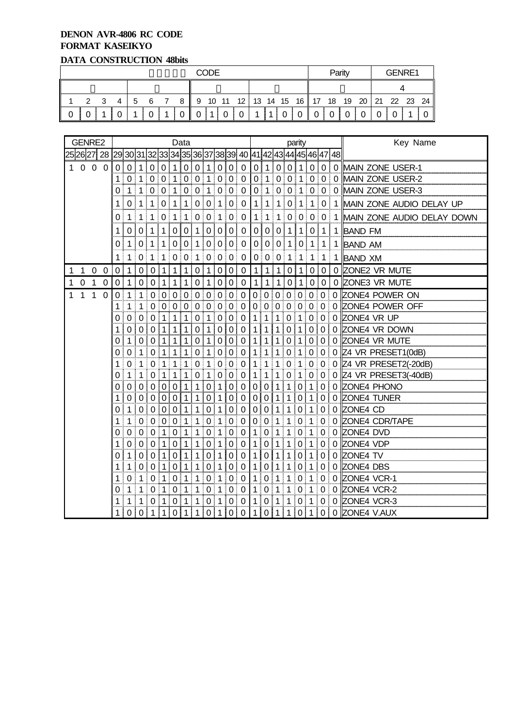## **DENON AVR-4806 RC CODE FORMAT KASEIKYO**

# **DATA CONSTRUCTION 48bits**

|   | <b>CODE</b> |  |   |    |     |  |          |          |  |             |                |      |  | Parity      |             |          |   | GENRE1      |                                         |  |  |          |  |
|---|-------------|--|---|----|-----|--|----------|----------|--|-------------|----------------|------|--|-------------|-------------|----------|---|-------------|-----------------------------------------|--|--|----------|--|
|   |             |  |   |    |     |  |          |          |  |             |                |      |  |             |             |          |   |             |                                         |  |  |          |  |
|   |             |  | 4 | -5 | - 6 |  |          |          |  |             |                |      |  |             |             |          |   |             | 8 9 10 11 12 13 14 15 16 17 18 19 20 21 |  |  | 22 23 24 |  |
| 0 |             |  |   |    |     |  | $\Omega$ | $\cap$ i |  | $1 \vert 0$ | $\overline{0}$ | $-1$ |  | $1 \vert 0$ | $\mathbf 0$ | $\Omega$ | 0 | $\mathbf 0$ |                                         |  |  |          |  |

|   |              | GENRE2         |                |             |                |                |              |                  |              | Data        |             |                |             |                  |                                                                              | parity         |                |                 |                |                |                |                |          | Key Name                   |
|---|--------------|----------------|----------------|-------------|----------------|----------------|--------------|------------------|--------------|-------------|-------------|----------------|-------------|------------------|------------------------------------------------------------------------------|----------------|----------------|-----------------|----------------|----------------|----------------|----------------|----------|----------------------------|
|   |              |                |                |             |                |                |              |                  |              |             |             |                |             |                  | 25 26 27  28  29 30 31 32 33 34 35 36 37 38 39  40  41 42 43 44 45 46 47  48 |                |                |                 |                |                |                |                |          |                            |
|   | 100          |                | $\overline{0}$ | $\Omega$    | 0              | 1              | $\mathbf 0$  | $\mathbf 0$      | 1            | 0           | 0           | 1              | $\mathbf 0$ | $\mathbf 0$      | 0                                                                            | 0              | $\mathbf{1}$   | $\overline{0}$  | 0              | 1              | 0              | $\mathbf 0$    |          | 0 MAIN ZONE USER-1         |
|   |              |                |                | 1           |                |                | 0 1 0        | 0 1              |              | $\mathbf 0$ | 0 1         | I              | $\mathbf 0$ | 0                | $\overline{0}$                                                               |                | 0 1 0 0 1      |                 |                |                |                | 0 0            | 0        | MAIN ZONE USER-2           |
|   |              |                |                | 0           | 1              | 1              | 0            | $\mathbf 0$      | 1            | $\mathbf 0$ | $\mathbf 0$ | 1              | $\mathbf 0$ | $\mathbf 0$      | 0                                                                            | 0              | $\mathbf 1$    | 0               | $\mathbf 0$    | $\mathbf 1$    |                | 0 0            | 0        | MAIN ZONE USER-3           |
|   |              |                |                | 1           | 0              | 1              | 1            | 0                | 1            | 1           | 0           | 0              | 1           | 0                | 0                                                                            | $\mathbf 1$    | $\mathbf{1}$   | 1 <sup>1</sup>  | $\mathbf 0$    | $\mathbf{1}$   | $\mathbf{1}$   | 0              |          | 1 MAIN ZONE AUDIO DELAY UP |
|   |              |                |                | 0           | $\mathbf 1$    | 1              | 1            | 0 <sup>1</sup>   | $\mathbf{1}$ | 1           |             | 0 0 1          |             | $\overline{0}$   | $\mathbf 0$                                                                  | 1 <sup>1</sup> | 1              | 1 <sup>1</sup>  |                | 0 0            | $\overline{0}$ | $\mathbf 0$    |          | MAIN ZONE AUDIO DELAY DOWN |
|   |              |                |                | 1           | 0              | 0              | 1            | 1                | 0            | 0           | 1           | 0              | 0           | 0                | 0                                                                            | $\overline{0}$ | 0              | 0               | $\mathbf 1$    | $\mathbf{1}$   | $\mathbf 0$    | $\mathbf{1}$   | 1        | <b>BAND FM</b>             |
|   |              |                |                | 0           |                | 0              |              | 1                | 0            | 0           |             | 0              | 0           | 0                | 0                                                                            | 0              | 0              | 0               | $1 \mid$       | 0              | 1              | 1              | 1        | <b>BAND AM</b>             |
|   |              |                |                | 1           | 1              | 0              | 1            | 1                | 0            | 0           | 1           | $\overline{0}$ | 0           | $\mathbf 0$<br>ŧ | 0                                                                            |                | 0 0            | $\vert 0 \vert$ | 1              | 1              | 1              | 1              |          | <b>BAND XM</b>             |
| 1 | $\mathbf{1}$ | $\overline{0}$ | 0              | 0           |                | 0              | $\mathbf 0$  | 1                |              |             | 0           |                | 0           | $\mathbf 0$      | $\pmb{0}$                                                                    | 1.             | 1              | $\mathbf 1$     | 0              |                | 0              | 0              | 0        | ZONE2 VR MUTE              |
| 1 | $\mathbf 0$  | 1              | 0              | $\Omega$    | 1              | $\Omega$       | $\mathbf 0$  | 1                | 1            |             | 0           | 1              | 0           | $\mathbf 0$      | 0                                                                            | 1              | $\mathbf 1$    | $\mathbf 1$     | $\mathbf 0$    | 1              | $\mathbf 0$    | $\mathbf 0$    |          | 0 ZONE3 VR MUTE            |
| 1 | 1            | 1              | $\overline{0}$ | $\mathbf 0$ | 1              | 1              | $\Omega$     | $\Omega$         | $\mathbf 0$  | $\mathbf 0$ | $\mathbf 0$ | $\mathbf 0$    | $\mathbf 0$ | $\mathbf 0$      | $\Omega$                                                                     |                | 0 0 0          |                 | $\overline{0}$ | $\overline{0}$ | $\mathbf{0}$   | $\overline{0}$ |          | 0 ZONE4 POWER ON           |
|   |              |                |                | 1           | 1              | 1              | $\Omega$     | $\mathbf 0$      | $\mathbf 0$  | $\mathbf 0$ | $\mathbf 0$ | $\mathbf 0$    | 0           | $\mathbf 0$      | 0                                                                            | $\Omega$       | $\overline{0}$ | $\overline{0}$  | $\mathbf 0$    | $\mathbf 0$    | $\mathbf 0$    | $\Omega$       |          | 0 ZONE4 POWER OFF          |
|   |              |                |                | 0           | 0              | 0              | 0            | 1                | 1            | 1           | 0           | 1              | $\mathbf 0$ | $\mathbf 0$      | $\mathbf 0$                                                                  | 1              | 1              | $\mathbf 1$     | $\mathbf 0$    | 1              | $\pmb{0}$      | 0              |          | 0 ZONE4 VR UP              |
|   |              |                |                | 1           | 0              | 0              | 0            | 1                | 1            | 1           | 0           | 1              | 0           | 0                | 0                                                                            | 1              | 1              | 1               | 0              | 1              | 0 <sup>1</sup> | 0 <sup>1</sup> |          | 0 ZONE4 VR DOWN            |
|   |              |                |                | 0           | 1              | $\Omega$       | $\mathbf 0$  | 1                | 1            | 1           | 0           | 1              | 0           | $\mathbf 0$      | $\Omega$                                                                     | 1              | 1              | 1               | $\mathbf 0$    | 1              | $\mathbf 0$    | $\mathbf 0$    |          | 0 ZONE4 VR MUTE            |
|   |              |                |                | O           | 0              | 1              | 0            | 1 <sup>1</sup>   | $\mathbf 1$  | 1           | $\Omega$    | 1              | 0           | 0                | 0                                                                            | 1              | 1 !            | 1 <sup>1</sup>  | $\overline{0}$ | $\mathbf{1}$   |                | 0 0            |          | $0$ Z4 VR PRESET1(0dB)     |
|   |              |                |                | 1           | 0              | 1              | $\pmb{0}$    | 1 <sup>1</sup>   | $\mathbf{1}$ | 1           | $\pmb{0}$   | ਂ 1            | $\pmb{0}$   | $\mathbf 0$      | $\mathbf 0$                                                                  | 1              | 1              | 1 <sup>1</sup>  | $\pmb{0}$      | 1              | 0 <sub>0</sub> |                |          | 0 Z4 VR PRESET2(-20dB)     |
|   |              |                |                | O           | 1              | 1              | $\Omega$     | 1                | 1            | 1           | 0           | 1              | 0           | 0                | $\Omega$                                                                     | 1              | 1              | 1               | 0              | 1              | $\Omega$       | $\Omega$       |          | 0 Z4 VR PRESET3(-40dB)     |
|   |              |                |                | 0           | 0              | 0              | $\Omega$     | 0                | 0            | 1           | 1           | 0              | 1           | 0                | 0                                                                            | 0 <sup>1</sup> | 0              | 1               | 1              | 0              | 1              | 0              |          | 0 ZONE4 PHONO              |
|   |              |                |                | 1           | 0              | $\Omega$       | $\Omega$     | $\mathbf 0$      | $\Omega$     | 1           | 1           | 0              | 1           | 0                | $\Omega$                                                                     | $\Omega$       | $\Omega$       | 1               | 1              | 0              | 1              | 0              |          | 0 ZONE4 TUNER              |
|   |              |                |                | 0           | 1              | 0              | 0            | $\boldsymbol{0}$ | $\mathbf 0$  | 1           | 1           | $\mathbf 0$    | 1           | $\mathbf 0$      | $\mathbf 0$                                                                  | 0              | $\mathbf 0$    | 1               | 1              | $\mathbf 0$    | 1              | 0              |          | 0 ZONE4 CD                 |
|   |              |                |                | 1           | 1              | 0              | $\Omega$     | 0                | $\mathbf{0}$ | 1           | 1           | 0              | 1           | $\mathbf 0$      | 0                                                                            | 0 <sup>1</sup> | 0              | $\mathbf{1}$    | $\mathbf{1}$   | 0              | $\mathbf 1$    | 0              |          | 0 ZONE4 CDR/TAPE           |
|   |              |                |                | 0           | $\Omega$       | $\Omega$       | $\mathbf 0$  | 1                | 0            | 1           | 1           | 0              | 1           | 0                | 0                                                                            | 1              | 0              | 1               | 1              | 0              | 1              | $\Omega$       | $\Omega$ | ZONE4 DVD                  |
|   |              |                |                | 1           | 0              | 0              | $\Omega$     | 1                | 0            | 1           | 1           | $\Omega$       | 1           | 0                | 0                                                                            | 1.             | 0              | 1               | 1              | $\Omega$       | 1              | 0              |          | 0 ZONE4 VDP                |
|   |              |                |                | 0           | 1              | 0              | $\mathbf 0$  | 1                | $\mathbf 0$  | 1           | 1           | $\pmb{0}$      | 1           | $\mathbf 0$      | $\mathbf 0$                                                                  | $\mathbf 1$    | $\mathbf 0$    | $\mathbf{1}$    | 1              | $\mathbf 0$    | 1              | 0              |          | 0 ZONE4 TV                 |
|   |              |                |                | 1           | 1              | 0              | 0            | 1                | 0            | 1           | 1           | 0              |             | 0                | 0                                                                            | 1              | 0              | 1               | 1              | 0              | 1              | 0              |          | 0 ZONE4 DBS                |
|   |              |                |                | 1           | 0              | 1              | 0            | 1                | 0            | 1           | 1           | 0              | 1           | 0                | 0                                                                            | 1              | 0              | 1               | 1              | 0              | 1              | 0              | 0        | ZONE4 VCR-1                |
|   |              |                |                | 0           | 1              | 1              | 0            | 1                | 0            | 1           | 1           | 0              | 1           | 0                | 0                                                                            | 1              | 0              | 1               | 1              | 0              | 1              | 0              |          | 0 ZONE4 VCR-2              |
|   |              |                |                | 1           | 1              | 1              | 0            | 1                | 0            | 1           | 1           | $\mathbf 0$    | 1           | 0                | 0                                                                            | 1              | 0              | $\mathbf{1}$    | $\mathbf 1$    | 0              | 1              | 0              |          | 0 ZONE4 VCR-3              |
|   |              |                |                | 1           | 0 <sup>1</sup> | 0 <sup>1</sup> | $\mathbf{1}$ | 1                | $\mathbf 0$  | 1           | 1           | $\mathbf 0$    | 1           | $\pmb{0}$        | 0                                                                            | 1              |                | 0 1             | 1              |                | 0 1            |                |          | 0 0 ZONE4 V.AUX            |